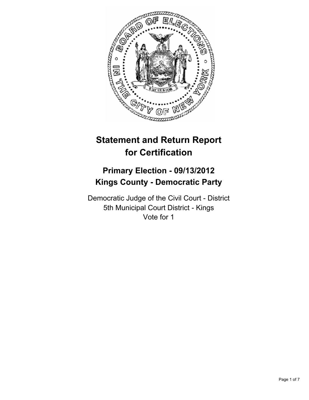

# **Statement and Return Report for Certification**

## **Primary Election - 09/13/2012 Kings County - Democratic Party**

Democratic Judge of the Civil Court - District 5th Municipal Court District - Kings Vote for 1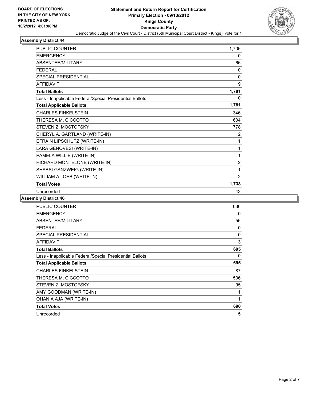

| <b>PUBLIC COUNTER</b>                                    | 1,706          |
|----------------------------------------------------------|----------------|
| <b>EMERGENCY</b>                                         | 0              |
| ABSENTEE/MILITARY                                        | 66             |
| <b>FEDERAL</b>                                           | 0              |
| <b>SPECIAL PRESIDENTIAL</b>                              | 0              |
| <b>AFFIDAVIT</b>                                         | 9              |
| <b>Total Ballots</b>                                     | 1,781          |
| Less - Inapplicable Federal/Special Presidential Ballots | 0              |
| <b>Total Applicable Ballots</b>                          | 1,781          |
| <b>CHARLES FINKELSTEIN</b>                               | 346            |
| THERESA M. CICCOTTO                                      | 604            |
| STEVEN Z. MOSTOFSKY                                      | 778            |
| CHERYL A. GARTLAND (WRITE-IN)                            | $\overline{2}$ |
| EFRAIN LIPSCHUTZ (WRITE-IN)                              | 1              |
| LARA GENOVESI (WRITE-IN)                                 | 1              |
| PAMELA WILLIE (WRITE-IN)                                 | 1              |
| RICHARD MONTELONE (WRITE-IN)                             | $\overline{2}$ |
| SHABSI GANZWEIG (WRITE-IN)                               | 1              |
| WILLIAM A LOEB (WRITE-IN)                                | $\overline{2}$ |
| <b>Total Votes</b>                                       | 1,738          |
| Unrecorded                                               | 43             |

| <b>PUBLIC COUNTER</b>                                    | 636 |
|----------------------------------------------------------|-----|
| <b>EMERGENCY</b>                                         | 0   |
| ABSENTEE/MILITARY                                        | 56  |
| <b>FEDERAL</b>                                           | 0   |
| <b>SPECIAL PRESIDENTIAL</b>                              | 0   |
| <b>AFFIDAVIT</b>                                         | 3   |
| <b>Total Ballots</b>                                     | 695 |
| Less - Inapplicable Federal/Special Presidential Ballots | 0   |
| <b>Total Applicable Ballots</b>                          | 695 |
| <b>CHARLES FINKELSTEIN</b>                               | 87  |
| THERESA M. CICCOTTO                                      | 506 |
| STEVEN Z. MOSTOFSKY                                      | 95  |
| AMY GOODMAN (WRITE-IN)                                   | 1   |
| OHAN A AJA (WRITE-IN)                                    | 1   |
| <b>Total Votes</b>                                       | 690 |
| Unrecorded                                               | 5   |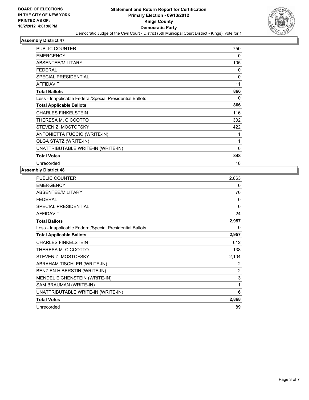

| <b>PUBLIC COUNTER</b>                                    | 750          |
|----------------------------------------------------------|--------------|
| <b>EMERGENCY</b>                                         | 0            |
| ABSENTEE/MILITARY                                        | 105          |
| <b>FEDERAL</b>                                           | 0            |
| <b>SPECIAL PRESIDENTIAL</b>                              | $\mathbf{0}$ |
| <b>AFFIDAVIT</b>                                         | 11           |
| <b>Total Ballots</b>                                     | 866          |
| Less - Inapplicable Federal/Special Presidential Ballots | 0            |
| <b>Total Applicable Ballots</b>                          | 866          |
| <b>CHARLES FINKELSTEIN</b>                               | 116          |
| THERESA M. CICCOTTO                                      | 302          |
| STEVEN Z. MOSTOFSKY                                      | 422          |
| ANTONIETTA FUCCIO (WRITE-IN)                             | 1            |
| OLGA STATZ (WRITE-IN)                                    | 1            |
| UNATTRIBUTABLE WRITE-IN (WRITE-IN)                       | 6            |
| <b>Total Votes</b>                                       | 848          |
| Unrecorded                                               | 18           |

| PUBLIC COUNTER                                           | 2,863 |
|----------------------------------------------------------|-------|
| <b>EMERGENCY</b>                                         | 0     |
| ABSENTEE/MILITARY                                        | 70    |
| FEDERAL                                                  | 0     |
| <b>SPECIAL PRESIDENTIAL</b>                              | 0     |
| <b>AFFIDAVIT</b>                                         | 24    |
| <b>Total Ballots</b>                                     | 2,957 |
| Less - Inapplicable Federal/Special Presidential Ballots | 0     |
| <b>Total Applicable Ballots</b>                          | 2,957 |
| <b>CHARLES FINKELSTEIN</b>                               | 612   |
| THERESA M. CICCOTTO                                      | 138   |
| STEVEN Z. MOSTOFSKY                                      | 2,104 |
| ABRAHAM TISCHLER (WRITE-IN)                              | 2     |
| BENZIEN HIBERSTIN (WRITE-IN)                             | 2     |
| MENDEL EICHENSTEIN (WRITE-IN)                            | 3     |
| SAM BRAUMAN (WRITE-IN)                                   | 1     |
| UNATTRIBUTABLE WRITE-IN (WRITE-IN)                       | 6     |
| <b>Total Votes</b>                                       | 2,868 |
| Unrecorded                                               | 89    |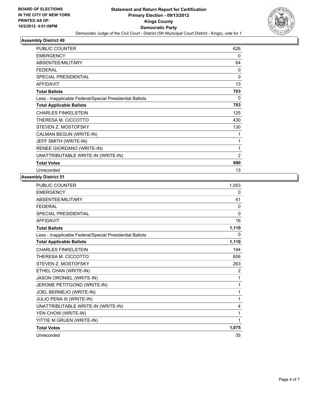

| <b>PUBLIC COUNTER</b>                                    | 626          |
|----------------------------------------------------------|--------------|
| <b>EMERGENCY</b>                                         | 0            |
| ABSENTEE/MILITARY                                        | 64           |
| <b>FEDERAL</b>                                           | 0            |
| <b>SPECIAL PRESIDENTIAL</b>                              | $\mathbf{0}$ |
| <b>AFFIDAVIT</b>                                         | 13           |
| <b>Total Ballots</b>                                     | 703          |
| Less - Inapplicable Federal/Special Presidential Ballots | 0            |
| <b>Total Applicable Ballots</b>                          | 703          |
| <b>CHARLES FINKELSTEIN</b>                               | 125          |
| THERESA M. CICCOTTO                                      | 430          |
| STEVEN Z. MOSTOFSKY                                      | 130          |
| CALMAN BEGUN (WRITE-IN)                                  | 1            |
| JEFF SMITH (WRITE-IN)                                    | 1            |
| RENEE GIORDANO (WRITE-IN)                                | 1            |
| UNATTRIBUTABLE WRITE-IN (WRITE-IN)                       | 2            |
| <b>Total Votes</b>                                       | 690          |
| Unrecorded                                               | 13           |

| 1,053        |
|--------------|
| 0            |
| 41           |
| 0            |
| $\mathbf{0}$ |
| 16           |
| 1,110        |
| $\mathbf{0}$ |
| 1,110        |
| 194          |
| 606          |
| 263          |
| 2            |
| 1            |
| 1            |
| 1            |
| 1            |
| 4            |
| 1            |
| 1            |
| 1,075        |
| 35           |
|              |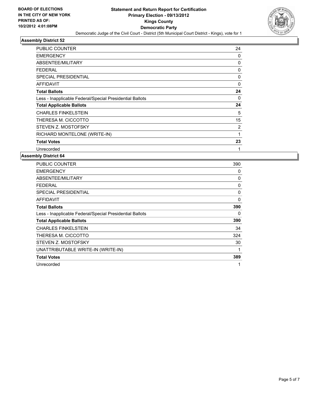

| PUBLIC COUNTER                                           | 24       |
|----------------------------------------------------------|----------|
| <b>EMERGENCY</b>                                         | 0        |
| <b>ABSENTEE/MILITARY</b>                                 | 0        |
| FEDERAL                                                  | 0        |
| <b>SPECIAL PRESIDENTIAL</b>                              | 0        |
| AFFIDAVIT                                                | $\Omega$ |
| <b>Total Ballots</b>                                     | 24       |
| Less - Inapplicable Federal/Special Presidential Ballots | 0        |
| <b>Total Applicable Ballots</b>                          | 24       |
| <b>CHARLES FINKELSTEIN</b>                               | 5        |
| THERESA M. CICCOTTO                                      | 15       |
| STEVEN Z. MOSTOFSKY                                      | 2        |
| RICHARD MONTELONE (WRITE-IN)                             | 1        |
| <b>Total Votes</b>                                       | 23       |
| Unrecorded                                               | 1        |

| <b>PUBLIC COUNTER</b>                                    | 390 |
|----------------------------------------------------------|-----|
| <b>EMERGENCY</b>                                         | 0   |
| ABSENTEE/MILITARY                                        | 0   |
| FEDERAL                                                  | 0   |
| SPECIAL PRESIDENTIAL                                     | 0   |
| AFFIDAVIT                                                | 0   |
| <b>Total Ballots</b>                                     | 390 |
| Less - Inapplicable Federal/Special Presidential Ballots | 0   |
| <b>Total Applicable Ballots</b>                          | 390 |
| <b>CHARLES FINKELSTEIN</b>                               | 34  |
| THERESA M. CICCOTTO                                      | 324 |
| STEVEN Z. MOSTOFSKY                                      | 30  |
| UNATTRIBUTABLE WRITE-IN (WRITE-IN)                       | 1   |
| <b>Total Votes</b>                                       | 389 |
| Unrecorded                                               |     |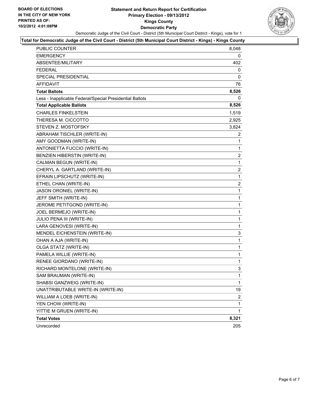#### **Statement and Return Report for Certification Primary Election - 09/13/2012 Kings County Democratic Party** Democratic Judge of the Civil Court - District (5th Municipal Court District - Kings), vote for 1



#### **Total for Democratic Judge of the Civil Court - District (5th Municipal Court District - Kings) - Kings County**

| PUBLIC COUNTER                                           | 8,048 |
|----------------------------------------------------------|-------|
| <b>EMERGENCY</b>                                         | 0     |
| ABSENTEE/MILITARY                                        | 402   |
| <b>FEDERAL</b>                                           | 0     |
| SPECIAL PRESIDENTIAL                                     | 0     |
| <b>AFFIDAVIT</b>                                         | 76    |
| <b>Total Ballots</b>                                     | 8,526 |
| Less - Inapplicable Federal/Special Presidential Ballots | 0     |
| <b>Total Applicable Ballots</b>                          | 8,526 |
| <b>CHARLES FINKELSTEIN</b>                               | 1,519 |
| THERESA M. CICCOTTO                                      | 2,925 |
| STEVEN Z. MOSTOFSKY                                      | 3,824 |
| ABRAHAM TISCHLER (WRITE-IN)                              | 2     |
| AMY GOODMAN (WRITE-IN)                                   | 1     |
| ANTONIETTA FUCCIO (WRITE-IN)                             | 1     |
| BENZIEN HIBERSTIN (WRITE-IN)                             | 2     |
| CALMAN BEGUN (WRITE-IN)                                  | 1     |
| CHERYL A. GARTLAND (WRITE-IN)                            | 2     |
| EFRAIN LIPSCHUTZ (WRITE-IN)                              | 1     |
| ETHEL CHAN (WRITE-IN)                                    | 2     |
| JASON ORONIEL (WRITE-IN)                                 | 1     |
| JEFF SMITH (WRITE-IN)                                    | 1     |
| JEROME PETITGOND (WRITE-IN)                              | 1     |
| JOEL BERMEJO (WRITE-IN)                                  | 1     |
| JULIO PENA III (WRITE-IN)                                | 1     |
| LARA GENOVESI (WRITE-IN)                                 | 1     |
| MENDEL EICHENSTEIN (WRITE-IN)                            | 3     |
| OHAN A AJA (WRITE-IN)                                    | 1     |
| OLGA STATZ (WRITE-IN)                                    | 1     |
| PAMELA WILLIE (WRITE-IN)                                 | 1     |
| RENEE GIORDANO (WRITE-IN)                                | 1     |
| RICHARD MONTELONE (WRITE-IN)                             | 3     |
| SAM BRAUMAN (WRITE-IN)                                   | 1     |
| SHABSI GANZWEIG (WRITE-IN)                               | 1     |
| UNATTRIBUTABLE WRITE-IN (WRITE-IN)                       | 19    |
| WILLIAM A LOEB (WRITE-IN)                                | 2     |
| YEN CHOW (WRITE-IN)                                      | 1     |
| YITTIE M GRUEN (WRITE-IN)                                | 1     |
| <b>Total Votes</b>                                       | 8,321 |
| Unrecorded                                               | 205   |